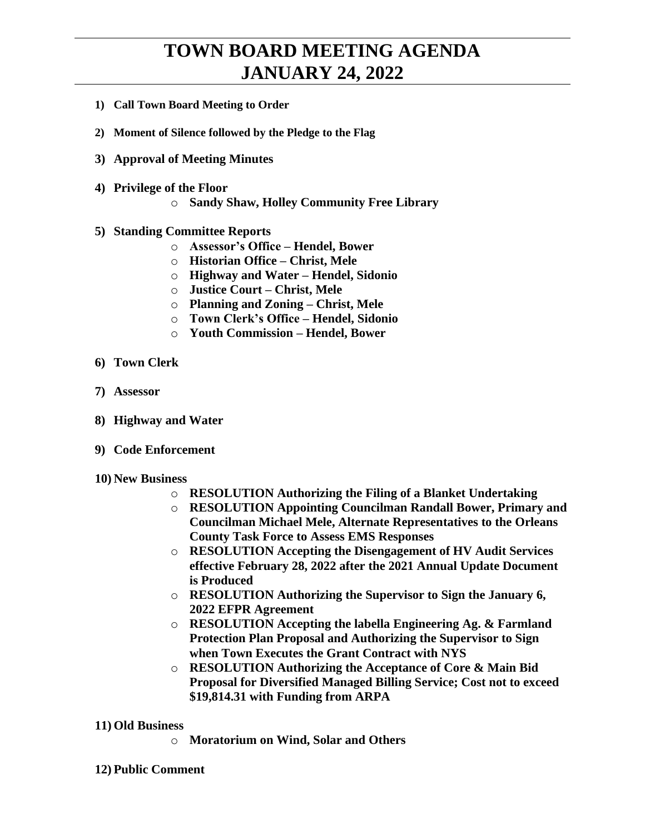## **TOWN BOARD MEETING AGENDA JANUARY 24, 2022**

- **1) Call Town Board Meeting to Order**
- **2) Moment of Silence followed by the Pledge to the Flag**
- **3) Approval of Meeting Minutes**
- **4) Privilege of the Floor**
	- o **Sandy Shaw, Holley Community Free Library**
- **5) Standing Committee Reports**
	- o **Assessor's Office – Hendel, Bower**
	- o **Historian Office – Christ, Mele**
	- o **Highway and Water – Hendel, Sidonio**
	- o **Justice Court – Christ, Mele**
	- o **Planning and Zoning – Christ, Mele**
	- o **Town Clerk's Office – Hendel, Sidonio**
	- o **Youth Commission – Hendel, Bower**
- **6) Town Clerk**
- **7) Assessor**
- **8) Highway and Water**
- **9) Code Enforcement**
- **10) New Business**
	- o **RESOLUTION Authorizing the Filing of a Blanket Undertaking**
	- o **RESOLUTION Appointing Councilman Randall Bower, Primary and Councilman Michael Mele, Alternate Representatives to the Orleans County Task Force to Assess EMS Responses**
	- o **RESOLUTION Accepting the Disengagement of HV Audit Services effective February 28, 2022 after the 2021 Annual Update Document is Produced**
	- o **RESOLUTION Authorizing the Supervisor to Sign the January 6, 2022 EFPR Agreement**
	- o **RESOLUTION Accepting the labella Engineering Ag. & Farmland Protection Plan Proposal and Authorizing the Supervisor to Sign when Town Executes the Grant Contract with NYS**
	- o **RESOLUTION Authorizing the Acceptance of Core & Main Bid Proposal for Diversified Managed Billing Service; Cost not to exceed \$19,814.31 with Funding from ARPA**

## **11) Old Business**

o **Moratorium on Wind, Solar and Others**

## **12) Public Comment**